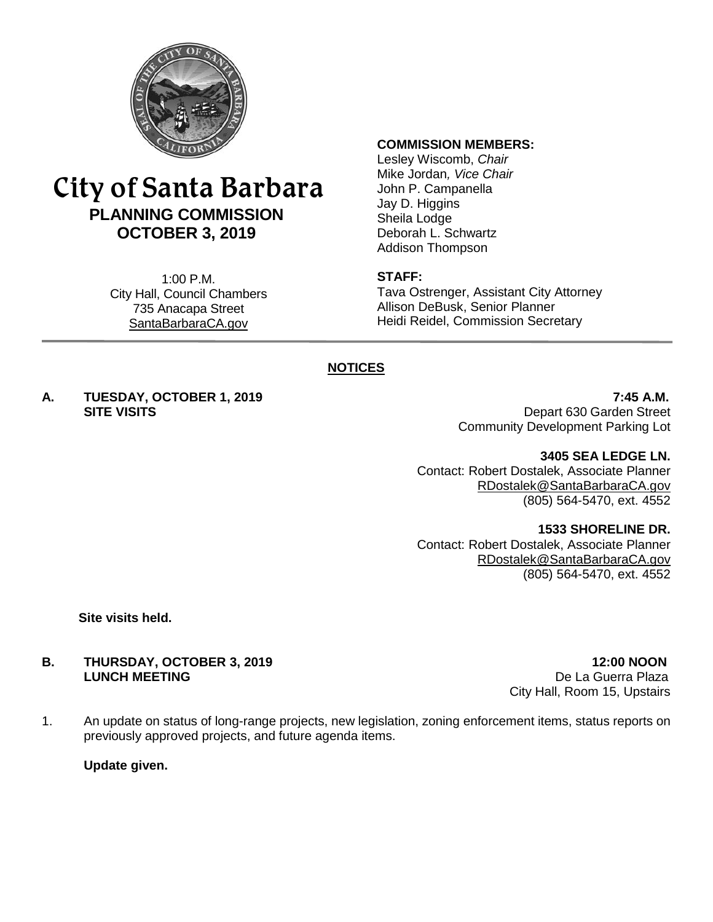

## City of Santa Barbara **PLANNING COMMISSION OCTOBER 3, 2019**

1:00 P.M. City Hall, Council Chambers 735 Anacapa Street SantaBarbaraCA.gov

#### **COMMISSION MEMBERS:**

Lesley Wiscomb, *Chair* Mike Jordan*, Vice Chair* John P. Campanella Jay D. Higgins Sheila Lodge Deborah L. Schwartz Addison Thompson

#### **STAFF:**

Tava Ostrenger, Assistant City Attorney Allison DeBusk, Senior Planner Heidi Reidel, Commission Secretary

#### **NOTICES**

**A. TUESDAY, OCTOBER 1, 2019 7:45 A.M.**

**SITE VISITS** Depart 630 Garden Street Community Development Parking Lot

**3405 SEA LEDGE LN.**

Contact: Robert Dostalek, Associate Planner [RDostalek@SantaBarbaraCA.gov](mailto:RDostalek@SantaBarbaraCA.gov) (805) 564-5470, ext. 4552

#### **1533 SHORELINE DR.**

Contact: Robert Dostalek, Associate Planner [RDostalek@SantaBarbaraCA.gov](mailto:RDostalek@SantaBarbaraCA.gov) (805) 564-5470, ext. 4552

**Site visits held.**

# **B. THURSDAY, OCTOBER 3, 2019 12:00 NOON**<br>**LUNCH MEETING 12:00 NOON**

De La Guerra Plaza City Hall, Room 15, Upstairs

1. An update on status of long-range projects, new legislation, zoning enforcement items, status reports on previously approved projects, and future agenda items.

**Update given.**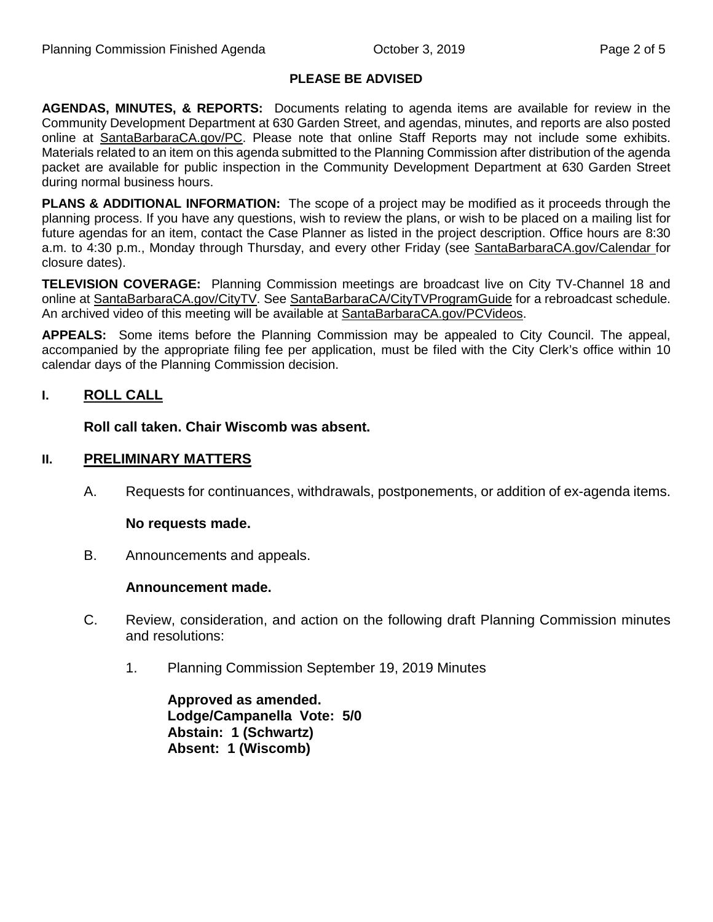#### **PLEASE BE ADVISED**

**AGENDAS, MINUTES, & REPORTS:** Documents relating to agenda items are available for review in the Community Development Department at 630 Garden Street, and agendas, minutes, and reports are also posted online at [SantaBarbaraCA.gov/PC.](http://www.santabarbaraca.gov/PC) Please note that online Staff Reports may not include some exhibits. Materials related to an item on this agenda submitted to the Planning Commission after distribution of the agenda packet are available for public inspection in the Community Development Department at 630 Garden Street during normal business hours.

**PLANS & ADDITIONAL INFORMATION:** The scope of a project may be modified as it proceeds through the planning process. If you have any questions, wish to review the plans, or wish to be placed on a mailing list for future agendas for an item, contact the Case Planner as listed in the project description. Office hours are 8:30 a.m. to 4:30 p.m., Monday through Thursday, and every other Friday (see [SantaBarbaraCA.gov/Calendar](http://www.santabarbaraca.gov/cals/default.asp) for closure dates).

**TELEVISION COVERAGE:** Planning Commission meetings are broadcast live on City TV-Channel 18 and online at [SantaBarbaraCA.gov/CityTV.](http://www.santabarbaraca.gov/CityTV) See [SantaBarbaraCA/CityTVProgramGuide](http://www.santabarbaraca.gov/gov/depts/cityadmin/programming.asp) for a rebroadcast schedule. An archived video of this meeting will be available at [SantaBarbaraCA.gov/PCVideos.](http://www.santabarbaraca.gov/PCVideos)

**APPEALS:** Some items before the Planning Commission may be appealed to City Council. The appeal, accompanied by the appropriate filing fee per application, must be filed with the City Clerk's office within 10 calendar days of the Planning Commission decision.

#### **I. ROLL CALL**

#### **Roll call taken. Chair Wiscomb was absent.**

#### **II. PRELIMINARY MATTERS**

A. Requests for continuances, withdrawals, postponements, or addition of ex-agenda items.

#### **No requests made.**

B. Announcements and appeals.

#### **Announcement made.**

- C. Review, consideration, and action on the following draft Planning Commission minutes and resolutions:
	- 1. Planning Commission September 19, 2019 Minutes

**Approved as amended. Lodge/Campanella Vote: 5/0 Abstain: 1 (Schwartz) Absent: 1 (Wiscomb)**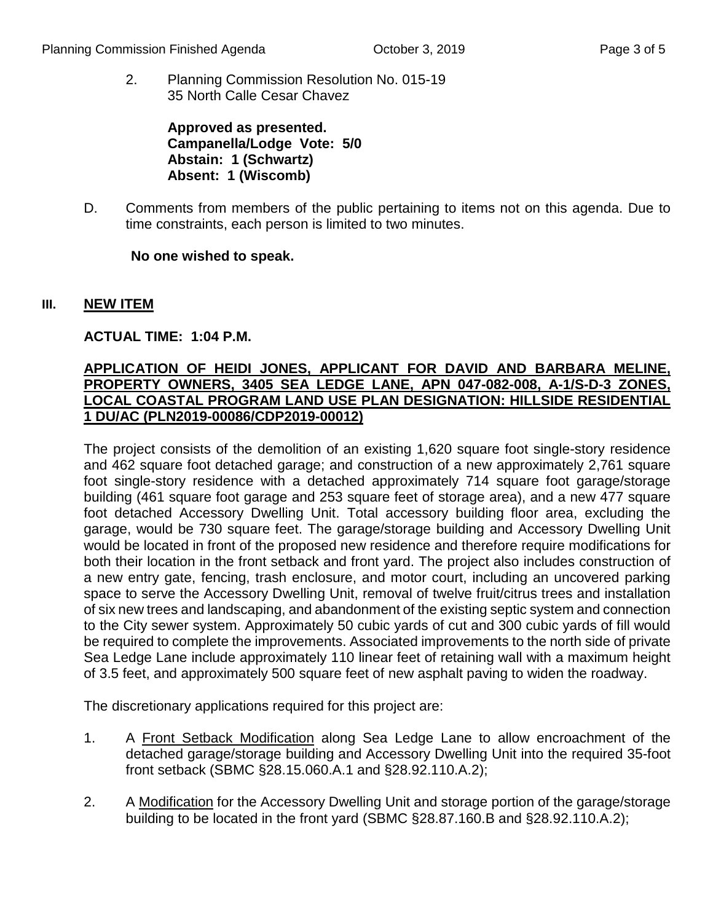2. Planning Commission Resolution No. 015-19 35 North Calle Cesar Chavez

> **Approved as presented. Campanella/Lodge Vote: 5/0 Abstain: 1 (Schwartz) Absent: 1 (Wiscomb)**

D. Comments from members of the public pertaining to items not on this agenda. Due to time constraints, each person is limited to two minutes.

**No one wished to speak.**

#### **III. NEW ITEM**

#### **ACTUAL TIME: 1:04 P.M.**

#### **APPLICATION OF HEIDI JONES, APPLICANT FOR DAVID AND BARBARA MELINE, PROPERTY OWNERS, 3405 SEA LEDGE LANE, APN 047-082-008, A-1/S-D-3 ZONES, LOCAL COASTAL PROGRAM LAND USE PLAN DESIGNATION: HILLSIDE RESIDENTIAL 1 DU/AC (PLN2019-00086/CDP2019-00012)**

The project consists of the demolition of an existing 1,620 square foot single-story residence and 462 square foot detached garage; and construction of a new approximately 2,761 square foot single-story residence with a detached approximately 714 square foot garage/storage building (461 square foot garage and 253 square feet of storage area), and a new 477 square foot detached Accessory Dwelling Unit. Total accessory building floor area, excluding the garage, would be 730 square feet. The garage/storage building and Accessory Dwelling Unit would be located in front of the proposed new residence and therefore require modifications for both their location in the front setback and front yard. The project also includes construction of a new entry gate, fencing, trash enclosure, and motor court, including an uncovered parking space to serve the Accessory Dwelling Unit, removal of twelve fruit/citrus trees and installation of six new trees and landscaping, and abandonment of the existing septic system and connection to the City sewer system. Approximately 50 cubic yards of cut and 300 cubic yards of fill would be required to complete the improvements. Associated improvements to the north side of private Sea Ledge Lane include approximately 110 linear feet of retaining wall with a maximum height of 3.5 feet, and approximately 500 square feet of new asphalt paving to widen the roadway.

The discretionary applications required for this project are:

- 1. A Front Setback Modification along Sea Ledge Lane to allow encroachment of the detached garage/storage building and Accessory Dwelling Unit into the required 35-foot front setback (SBMC §28.15.060.A.1 and §28.92.110.A.2);
- 2. A Modification for the Accessory Dwelling Unit and storage portion of the garage/storage building to be located in the front yard (SBMC §28.87.160.B and §28.92.110.A.2);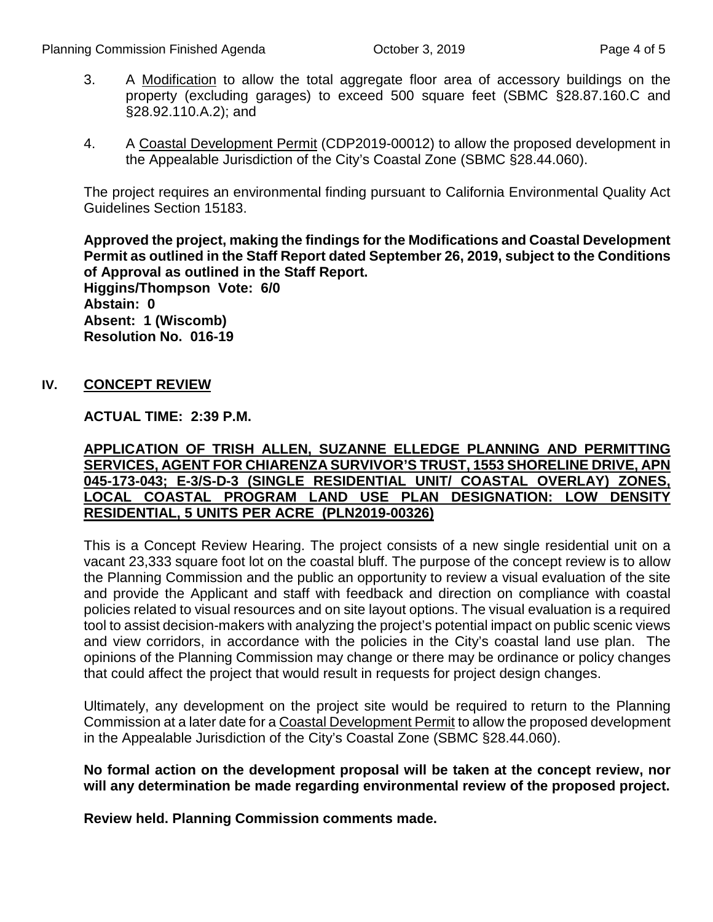- 3. A Modification to allow the total aggregate floor area of accessory buildings on the property (excluding garages) to exceed 500 square feet (SBMC §28.87.160.C and §28.92.110.A.2); and
- 4. A Coastal Development Permit (CDP2019-00012) to allow the proposed development in the Appealable Jurisdiction of the City's Coastal Zone (SBMC §28.44.060).

The project requires an environmental finding pursuant to California Environmental Quality Act Guidelines Section 15183.

**Approved the project, making the findings for the Modifications and Coastal Development Permit as outlined in the Staff Report dated September 26, 2019, subject to the Conditions of Approval as outlined in the Staff Report.**

**Higgins/Thompson Vote: 6/0 Abstain: 0 Absent: 1 (Wiscomb) Resolution No. 016-19**

#### **IV. CONCEPT REVIEW**

**ACTUAL TIME: 2:39 P.M.**

#### **APPLICATION OF TRISH ALLEN, SUZANNE ELLEDGE PLANNING AND PERMITTING SERVICES, AGENT FOR CHIARENZA SURVIVOR'S TRUST, 1553 SHORELINE DRIVE, APN 045-173-043; E-3/S-D-3 (SINGLE RESIDENTIAL UNIT/ COASTAL OVERLAY) ZONES, LOCAL COASTAL PROGRAM LAND USE PLAN DESIGNATION: LOW DENSITY RESIDENTIAL, 5 UNITS PER ACRE (PLN2019-00326)**

This is a Concept Review Hearing. The project consists of a new single residential unit on a vacant 23,333 square foot lot on the coastal bluff. The purpose of the concept review is to allow the Planning Commission and the public an opportunity to review a visual evaluation of the site and provide the Applicant and staff with feedback and direction on compliance with coastal policies related to visual resources and on site layout options. The visual evaluation is a required tool to assist decision-makers with analyzing the project's potential impact on public scenic views and view corridors, in accordance with the policies in the City's coastal land use plan. The opinions of the Planning Commission may change or there may be ordinance or policy changes that could affect the project that would result in requests for project design changes.

Ultimately, any development on the project site would be required to return to the Planning Commission at a later date for a Coastal Development Permit to allow the proposed development in the Appealable Jurisdiction of the City's Coastal Zone (SBMC §28.44.060).

**No formal action on the development proposal will be taken at the concept review, nor will any determination be made regarding environmental review of the proposed project.**

**Review held. Planning Commission comments made.**